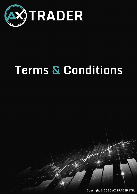

# **Terms & Conditions**

Copyright © 2020 AX TRADER LTD.

 $\mathcal{J}^{\mu}$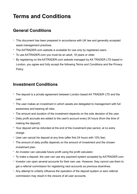# **Terms and Conditions**

#### **General Conditions**

- This document has been prepared in accordance with UK law and generally accepted asset management practices.
- The AXTRADER.com website is available for use only by registered users.
- To use AXTRADER.com you must be an adult, 18 years or older.
- By registering on the AXTRADER.com website managed by AX TRADER LTD based in London, you agree and fully accept the following Terms and Conditions and the Privacy **Policy**

#### **Investment Conditions**

- The deposit is a private agreement between London based AX TRADER LTD and the user.
- The user makes an investment in which assets are delegated to management with full awareness and bearing all risks.
- The amount and duration of the investment depends on the sole decision of the user.
- Daily profit accruals are added to the user's account every 24 hours (from the time of making the deposit).
- Your deposit will be refunded at the end of the investment plan period, at no extra charge.
- User can cancel his deposit at any time (after first 24 hours with 10% fee)
- The amount of daily profits depends on the amount of investment and the chosen investment plan.
- An investor can calculate future profit using the profit calculator.
- To make a deposit, the user can use any payment system accepted by AXTRADER.com
- Investor can open several accounts for their own use. However, they cannot use them to get a referral commission for registering next accounts as previous downlines.
- Any attempt to unfairly influence the operation of the deposit system or earn referral commission may result in the closure of all user accounts.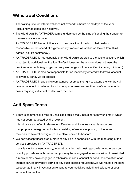### **Withdrawal Conditions**

- The waiting time for withdrawal does not exceed 24 hours on all days of the year (including weekends and holidays).
- The withdrawal by AXTRADER.com is understood as the time of sending the transfer to the user's wallet / account.
- AX TRADER LTD has no influence on the operation of the blockchain network responsible for the speed of cryptocurrency transfer, as well as on factors from third parties (e.g. PerfectMoney).
- AX TRADER LTD is not responsible for withdrawals ordered to the user's account, which is subject to additional verification (PerfectMoney) or the amount does not meet the credit requirements (e.g. cryptocurrency exchanges with a specified incoming minimum)
- AX TRADER LTD is also not responsible for an incorrectly entered withdrawal account or cryptocurrency wallet address.
- AX TRADER LTD in special circumstances reserves the right to extend the withdrawal time in the event of detected fraud, attempts to take over another user's account or in cases requiring individual contact with the user.

## **Anti-Spam Terms**

- Spam is commercial e-mail or unsolicited bulk e-mail, including "spam/junk mail", which has not been requested by the recipient.
- It is intrusive and often irrelevant or offensive, and it wastes valuable resources.
- Inappropriate newsgroup activities, consisting of excessive posting of the same materials to several newsgroups, are also deemed to bespam.
- We don't accept unsolicited e-mails of any kind in connection with the marketing of the services provided by AX TRADER LTD
- If any law enforcement agency, internet provider, web hosting provider or other person or entity provide us with notice that you may have engaged in transmission of unsolicited e-mails or may have engaged in otherwise unlawful conduct or conduct in violation of an internet service provider's terms or any such policies regulations,we will reserve the right tocooperate in any investigation relating to your activities including disclosure of your account information.